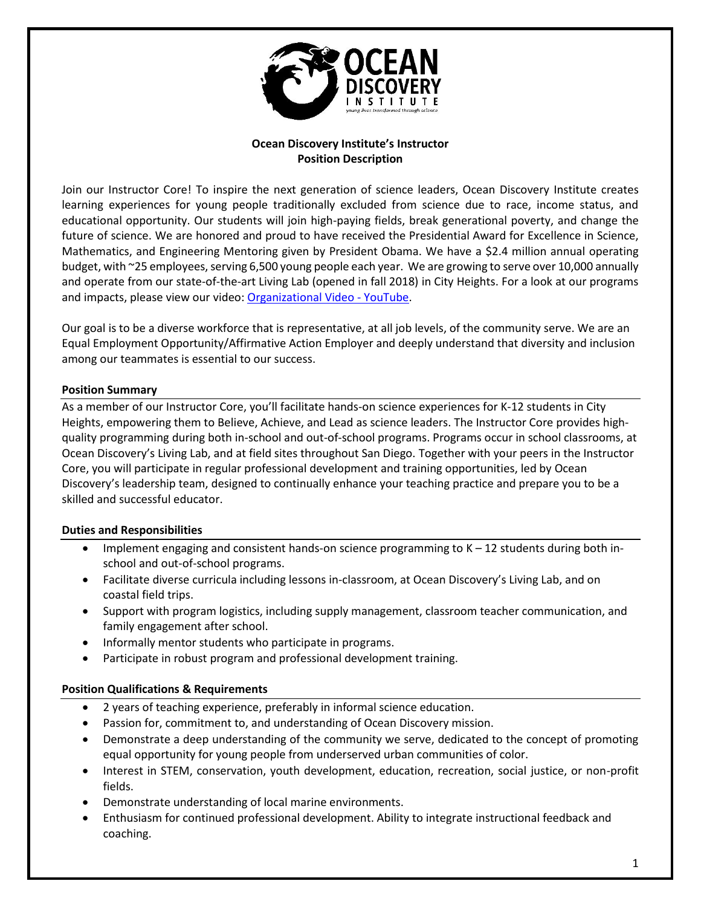

# **Ocean Discovery Institute's Instructor Position Description**

Join our Instructor Core! To inspire the next generation of science leaders, Ocean Discovery Institute creates learning experiences for young people traditionally excluded from science due to race, income status, and educational opportunity. Our students will join high-paying fields, break generational poverty, and change the future of science. We are honored and proud to have received the Presidential Award for Excellence in Science, Mathematics, and Engineering Mentoring given by President Obama. We have a \$2.4 million annual operating budget, with ~25 employees, serving 6,500 young people each year. We are growing to serve over 10,000 annually and operate from our state-of-the-art Living Lab (opened in fall 2018) in City Heights. For a look at our programs and impacts, please view our video: [Organizational Video -](https://www.youtube.com/watch?v=Yzw_TJRoUVk) YouTube.

Our goal is to be a diverse workforce that is representative, at all job levels, of the community serve. We are an Equal Employment Opportunity/Affirmative Action Employer and deeply understand that diversity and inclusion among our teammates is essential to our success.

### **Position Summary**

As a member of our Instructor Core, you'll facilitate hands-on science experiences for K-12 students in City Heights, empowering them to Believe, Achieve, and Lead as science leaders. The Instructor Core provides highquality programming during both in-school and out-of-school programs. Programs occur in school classrooms, at Ocean Discovery's Living Lab, and at field sites throughout San Diego. Together with your peers in the Instructor Core, you will participate in regular professional development and training opportunities, led by Ocean Discovery's leadership team, designed to continually enhance your teaching practice and prepare you to be a skilled and successful educator.

#### **Duties and Responsibilities**

- $\bullet$  Implement engaging and consistent hands-on science programming to K  $-12$  students during both inschool and out-of-school programs.
- Facilitate diverse curricula including lessons in-classroom, at Ocean Discovery's Living Lab, and on coastal field trips.
- Support with program logistics, including supply management, classroom teacher communication, and family engagement after school.
- Informally mentor students who participate in programs.
- Participate in robust program and professional development training.

# **Position Qualifications & Requirements**

- 2 years of teaching experience, preferably in informal science education.
- Passion for, commitment to, and understanding of Ocean Discovery mission.
- Demonstrate a deep understanding of the community we serve, dedicated to the concept of promoting equal opportunity for young people from underserved urban communities of color.
- Interest in STEM, conservation, youth development, education, recreation, social justice, or non-profit fields.
- Demonstrate understanding of local marine environments.
- Enthusiasm for continued professional development. Ability to integrate instructional feedback and coaching.